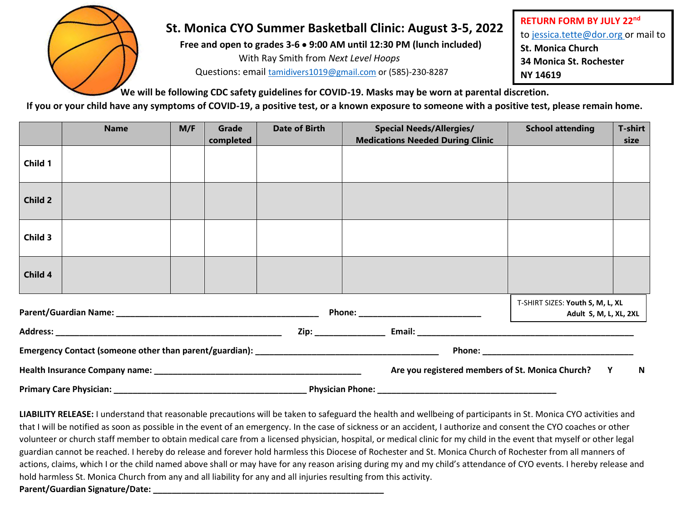

## **St. Monica CYO Summer Basketball Clinic: August 3-5, 2022**

**Free and open to grades 3-6** • **9:00 AM until 12:30 PM (lunch included)** With Ray Smith from *Next Level Hoops*

Questions: email [tamidivers1019@gmail.com](mailto:tamidivers1019@gmail.com) or (585)-230-8287

**RETURN FORM BY JULY 22nd** to [jessica.tette@dor.org](mailto:jessica.tette@dor.org) or mail to **St. Monica Church 34 Monica St. Rochester NY 14619**

**We will be following CDC safety guidelines for COVID-19. Masks may be worn at parental discretion.**

**If you or your child have any symptoms of COVID-19, a positive test, or a known exposure to someone with a positive test, please remain home.** 

|                                   | <b>Name</b> | M/F | Grade<br>completed | <b>Date of Birth</b> | <b>Special Needs/Allergies/</b><br><b>Medications Needed During Clinic</b> | <b>School attending</b> | <b>T-shirt</b><br>size                                     |  |
|-----------------------------------|-------------|-----|--------------------|----------------------|----------------------------------------------------------------------------|-------------------------|------------------------------------------------------------|--|
| Child 1                           |             |     |                    |                      |                                                                            |                         |                                                            |  |
| Child 2                           |             |     |                    |                      |                                                                            |                         |                                                            |  |
| Child 3                           |             |     |                    |                      |                                                                            |                         |                                                            |  |
| Child 4                           |             |     |                    |                      |                                                                            |                         |                                                            |  |
|                                   |             |     |                    |                      | Phone: ____________________________                                        |                         | T-SHIRT SIZES: Youth S, M, L, XL<br>Adult S, M, L, XL, 2XL |  |
|                                   |             |     |                    |                      |                                                                            |                         |                                                            |  |
|                                   |             |     |                    |                      |                                                                            |                         |                                                            |  |
|                                   |             |     |                    |                      | Are you registered members of St. Monica Church?                           | $\blacksquare$<br>Y     |                                                            |  |
| <b>Primary Care Physician:</b> __ |             |     |                    |                      |                                                                            |                         |                                                            |  |

**LIABILITY RELEASE:** I understand that reasonable precautions will be taken to safeguard the health and wellbeing of participants in St. Monica CYO activities and that I will be notified as soon as possible in the event of an emergency. In the case of sickness or an accident, I authorize and consent the CYO coaches or other volunteer or church staff member to obtain medical care from a licensed physician, hospital, or medical clinic for my child in the event that myself or other legal guardian cannot be reached. I hereby do release and forever hold harmless this Diocese of Rochester and St. Monica Church of Rochester from all manners of actions, claims, which I or the child named above shall or may have for any reason arising during my and my child's attendance of CYO events. I hereby release and hold harmless St. Monica Church from any and all liability for any and all injuries resulting from this activity. **Parent/Guardian Signature/Date: \_\_\_\_\_\_\_\_\_\_\_\_\_\_\_\_\_\_\_\_\_\_\_\_\_\_\_\_\_\_\_\_\_\_\_\_\_\_\_\_\_\_\_\_\_\_\_\_\_**